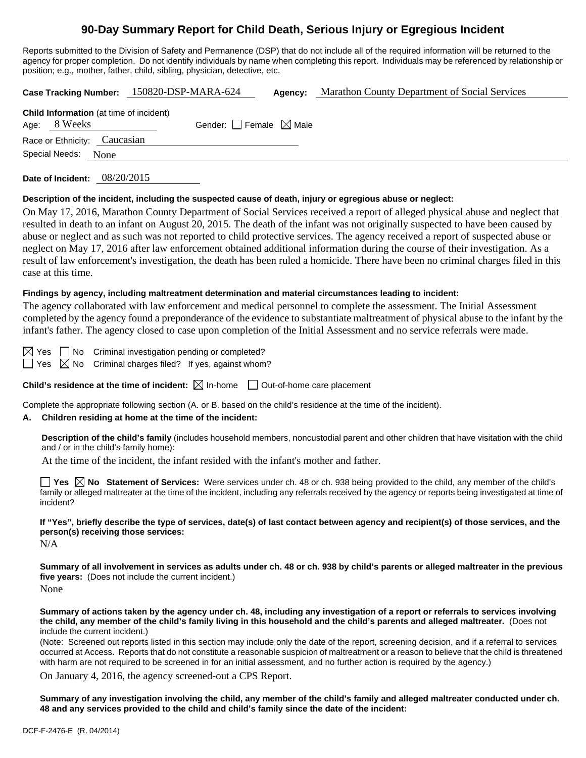# **90-Day Summary Report for Child Death, Serious Injury or Egregious Incident**

Reports submitted to the Division of Safety and Permanence (DSP) that do not include all of the required information will be returned to the agency for proper completion. Do not identify individuals by name when completing this report. Individuals may be referenced by relationship or position; e.g., mother, father, child, sibling, physician, detective, etc.

|                                                                | Case Tracking Number: 150820-DSP-MARA-624 | Agency: | Marathon County Department of Social Services |  |  |  |
|----------------------------------------------------------------|-------------------------------------------|---------|-----------------------------------------------|--|--|--|
| <b>Child Information</b> (at time of incident)<br>Age: 8 Weeks | Gender: Female $\boxtimes$ Male           |         |                                               |  |  |  |
| Race or Ethnicity: Caucasian                                   |                                           |         |                                               |  |  |  |
| Special Needs: None                                            |                                           |         |                                               |  |  |  |
|                                                                |                                           |         |                                               |  |  |  |

**Date of Incident:** 08/20/2015

#### **Description of the incident, including the suspected cause of death, injury or egregious abuse or neglect:**

On May 17, 2016, Marathon County Department of Social Services received a report of alleged physical abuse and neglect that resulted in death to an infant on August 20, 2015. The death of the infant was not originally suspected to have been caused by abuse or neglect and as such was not reported to child protective services. The agency received a report of suspected abuse or neglect on May 17, 2016 after law enforcement obtained additional information during the course of their investigation. As a result of law enforcement's investigation, the death has been ruled a homicide. There have been no criminal charges filed in this case at this time.

#### **Findings by agency, including maltreatment determination and material circumstances leading to incident:**

The agency collaborated with law enforcement and medical personnel to complete the assessment. The Initial Assessment completed by the agency found a preponderance of the evidence to substantiate maltreatment of physical abuse to the infant by the infant's father. The agency closed to case upon completion of the Initial Assessment and no service referrals were made.

 $\boxtimes$  Yes  $\Box$  No Criminal investigation pending or completed?

 $\Box$  Yes  $\boxtimes$  No Criminal charges filed? If yes, against whom?

**Child's residence at the time of incident:**  $\boxtimes$  In-home  $\Box$  Out-of-home care placement

Complete the appropriate following section (A. or B. based on the child's residence at the time of the incident).

## **A. Children residing at home at the time of the incident:**

**Description of the child's family** (includes household members, noncustodial parent and other children that have visitation with the child and / or in the child's family home):

At the time of the incident, the infant resided with the infant's mother and father.

**Yes**  $\boxtimes$  **No** Statement of Services: Were services under ch. 48 or ch. 938 being provided to the child, any member of the child's family or alleged maltreater at the time of the incident, including any referrals received by the agency or reports being investigated at time of incident?

**If "Yes", briefly describe the type of services, date(s) of last contact between agency and recipient(s) of those services, and the person(s) receiving those services:** 

N/A

**Summary of all involvement in services as adults under ch. 48 or ch. 938 by child's parents or alleged maltreater in the previous five years:** (Does not include the current incident.) None

**Summary of actions taken by the agency under ch. 48, including any investigation of a report or referrals to services involving the child, any member of the child's family living in this household and the child's parents and alleged maltreater.** (Does not include the current incident.)

(Note: Screened out reports listed in this section may include only the date of the report, screening decision, and if a referral to services occurred at Access. Reports that do not constitute a reasonable suspicion of maltreatment or a reason to believe that the child is threatened with harm are not required to be screened in for an initial assessment, and no further action is required by the agency.)

On January 4, 2016, the agency screened-out a CPS Report.

**Summary of any investigation involving the child, any member of the child's family and alleged maltreater conducted under ch. 48 and any services provided to the child and child's family since the date of the incident:**